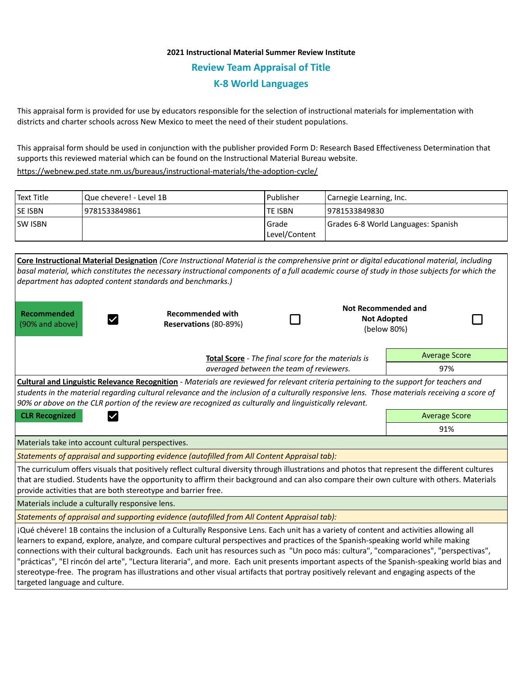## **2021 Instructional Material Summer Review Institute Review Team Appraisal of Title K-8 World Languages**

This appraisal form is provided for use by educators responsible for the selection of instructional materials for implementation with districts and charter schools across New Mexico to meet the need of their student populations.

This appraisal form should be used in conjunction with the publisher provided Form D: Research Based Effectiveness Determination that supports this reviewed material which can be found on the Instructional Material Bureau website.

<https://webnew.ped.state.nm.us/bureaus/instructional-materials/the-adoption-cycle/>

| Text Title     | Que chevere! - Level 1B | l Publisher                | Carnegie Learning, Inc.             |  |
|----------------|-------------------------|----------------------------|-------------------------------------|--|
| <b>SE ISBN</b> | 19781533849861          | <b>TE ISBN</b>             | 19781533849830                      |  |
| <b>SW ISBN</b> |                         | l Grade<br>  Level/Content | Grades 6-8 World Languages: Spanish |  |

| Core Instructional Material Designation (Core Instructional Material is the comprehensive print or digital educational material, including<br>basal material, which constitutes the necessary instructional components of a full academic course of study in those subjects for which the<br>department has adopted content standards and benchmarks.)                                                                                                                                                                                                                                                                                                                                                                                            |                                                  |                      |                                                                 |                      |  |  |  |  |
|---------------------------------------------------------------------------------------------------------------------------------------------------------------------------------------------------------------------------------------------------------------------------------------------------------------------------------------------------------------------------------------------------------------------------------------------------------------------------------------------------------------------------------------------------------------------------------------------------------------------------------------------------------------------------------------------------------------------------------------------------|--------------------------------------------------|----------------------|-----------------------------------------------------------------|----------------------|--|--|--|--|
| <b>Recommended</b><br>(90% and above)                                                                                                                                                                                                                                                                                                                                                                                                                                                                                                                                                                                                                                                                                                             | <b>Recommended with</b><br>Reservations (80-89%) |                      | <b>Not Recommended and</b><br><b>Not Adopted</b><br>(below 80%) |                      |  |  |  |  |
| Total Score - The final score for the materials is                                                                                                                                                                                                                                                                                                                                                                                                                                                                                                                                                                                                                                                                                                |                                                  |                      |                                                                 | <b>Average Score</b> |  |  |  |  |
| averaged between the team of reviewers.                                                                                                                                                                                                                                                                                                                                                                                                                                                                                                                                                                                                                                                                                                           |                                                  |                      |                                                                 | 97%                  |  |  |  |  |
| Cultural and Linguistic Relevance Recognition - Materials are reviewed for relevant criteria pertaining to the support for teachers and<br>students in the material regarding cultural relevance and the inclusion of a culturally responsive lens. Those materials receiving a score of<br>90% or above on the CLR portion of the review are recognized as culturally and linguistically relevant.                                                                                                                                                                                                                                                                                                                                               |                                                  |                      |                                                                 |                      |  |  |  |  |
| <b>CLR Recognized</b>                                                                                                                                                                                                                                                                                                                                                                                                                                                                                                                                                                                                                                                                                                                             |                                                  | <b>Average Score</b> |                                                                 |                      |  |  |  |  |
|                                                                                                                                                                                                                                                                                                                                                                                                                                                                                                                                                                                                                                                                                                                                                   |                                                  | 91%                  |                                                                 |                      |  |  |  |  |
| Materials take into account cultural perspectives.                                                                                                                                                                                                                                                                                                                                                                                                                                                                                                                                                                                                                                                                                                |                                                  |                      |                                                                 |                      |  |  |  |  |
| Statements of appraisal and supporting evidence (autofilled from All Content Appraisal tab):                                                                                                                                                                                                                                                                                                                                                                                                                                                                                                                                                                                                                                                      |                                                  |                      |                                                                 |                      |  |  |  |  |
| The curriculum offers visuals that positively reflect cultural diversity through illustrations and photos that represent the different cultures<br>that are studied. Students have the opportunity to affirm their background and can also compare their own culture with others. Materials<br>provide activities that are both stereotype and barrier free.                                                                                                                                                                                                                                                                                                                                                                                      |                                                  |                      |                                                                 |                      |  |  |  |  |
| Materials include a culturally responsive lens.                                                                                                                                                                                                                                                                                                                                                                                                                                                                                                                                                                                                                                                                                                   |                                                  |                      |                                                                 |                      |  |  |  |  |
| Statements of appraisal and supporting evidence (autofilled from All Content Appraisal tab):                                                                                                                                                                                                                                                                                                                                                                                                                                                                                                                                                                                                                                                      |                                                  |                      |                                                                 |                      |  |  |  |  |
| ¡Qué chévere! 1B contains the inclusion of a Culturally Responsive Lens. Each unit has a variety of content and activities allowing all<br>learners to expand, explore, analyze, and compare cultural perspectives and practices of the Spanish-speaking world while making<br>connections with their cultural backgrounds. Each unit has resources such as "Un poco más: cultura", "comparaciones", "perspectivas",<br>"prácticas", "El rincón del arte", "Lectura literaria", and more. Each unit presents important aspects of the Spanish-speaking world bias and<br>stereotype-free. The program has illustrations and other visual artifacts that portray positively relevant and engaging aspects of the<br>targeted language and culture. |                                                  |                      |                                                                 |                      |  |  |  |  |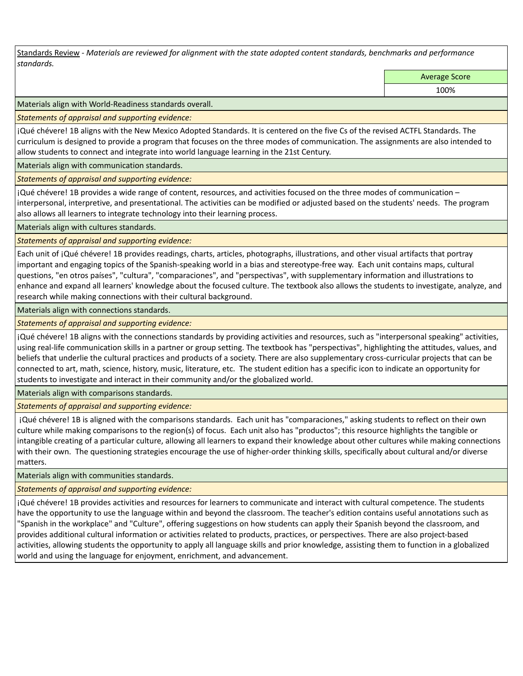Standards Review *- Materials are reviewed for alignment with the state adopted content standards, benchmarks and performance standards.*

Average Score

100%

Materials align with World-Readiness standards overall.

*Statements of appraisal and supporting evidence:* 

¡Qué chévere! 1B aligns with the New Mexico Adopted Standards. It is centered on the five Cs of the revised ACTFL Standards. The curriculum is designed to provide a program that focuses on the three modes of communication. The assignments are also intended to allow students to connect and integrate into world language learning in the 21st Century.

Materials align with communication standards.

*Statements of appraisal and supporting evidence:* 

¡Qué chévere! 1B provides a wide range of content, resources, and activities focused on the three modes of communication – interpersonal, interpretive, and presentational. The activities can be modified or adjusted based on the students' needs. The program also allows all learners to integrate technology into their learning process.

Materials align with cultures standards.

*Statements of appraisal and supporting evidence:* 

Each unit of ¡Qué chévere! 1B provides readings, charts, articles, photographs, illustrations, and other visual artifacts that portray important and engaging topics of the Spanish-speaking world in a bias and stereotype-free way. Each unit contains maps, cultural questions, "en otros países", "cultura", "comparaciones", and "perspectivas", with supplementary information and illustrations to enhance and expand all learners' knowledge about the focused culture. The textbook also allows the students to investigate, analyze, and research while making connections with their cultural background.

Materials align with connections standards.

*Statements of appraisal and supporting evidence:* 

¡Qué chévere! 1B aligns with the connections standards by providing activities and resources, such as "interpersonal speaking" activities, using real-life communication skills in a partner or group setting. The textbook has "perspectivas", highlighting the attitudes, values, and beliefs that underlie the cultural practices and products of a society. There are also supplementary cross-curricular projects that can be connected to art, math, science, history, music, literature, etc. The student edition has a specific icon to indicate an opportunity for students to investigate and interact in their community and/or the globalized world.

Materials align with comparisons standards.

*Statements of appraisal and supporting evidence:* 

 ¡Qué chévere! 1B is aligned with the comparisons standards. Each unit has "comparaciones," asking students to reflect on their own culture while making comparisons to the region(s) of focus. Each unit also has "productos"; this resource highlights the tangible or intangible creating of a particular culture, allowing all learners to expand their knowledge about other cultures while making connections with their own. The questioning strategies encourage the use of higher-order thinking skills, specifically about cultural and/or diverse matters.

Materials align with communities standards.

*Statements of appraisal and supporting evidence:* 

¡Qué chévere! 1B provides activities and resources for learners to communicate and interact with cultural competence. The students have the opportunity to use the language within and beyond the classroom. The teacher's edition contains useful annotations such as "Spanish in the workplace" and "Culture", offering suggestions on how students can apply their Spanish beyond the classroom, and provides additional cultural information or activities related to products, practices, or perspectives. There are also project-based activities, allowing students the opportunity to apply all language skills and prior knowledge, assisting them to function in a globalized world and using the language for enjoyment, enrichment, and advancement.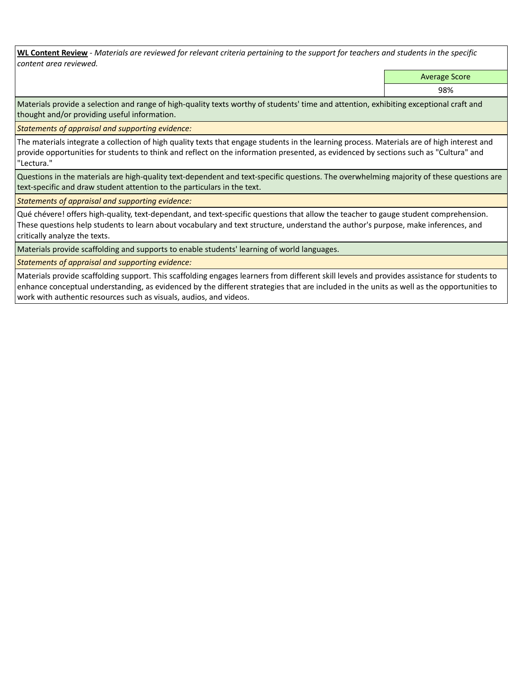**WL Content Review** *- Materials are reviewed for relevant criteria pertaining to the support for teachers and students in the specific content area reviewed.*

Average Score

98%

Materials provide a selection and range of high-quality texts worthy of students' time and attention, exhibiting exceptional craft and thought and/or providing useful information.

*Statements of appraisal and supporting evidence:* 

The materials integrate a collection of high quality texts that engage students in the learning process. Materials are of high interest and provide opportunities for students to think and reflect on the information presented, as evidenced by sections such as "Cultura" and "Lectura."

Questions in the materials are high-quality text-dependent and text-specific questions. The overwhelming majority of these questions are text-specific and draw student attention to the particulars in the text.

*Statements of appraisal and supporting evidence:* 

Qué chévere! offers high-quality, text-dependant, and text-specific questions that allow the teacher to gauge student comprehension. These questions help students to learn about vocabulary and text structure, understand the author's purpose, make inferences, and critically analyze the texts.

Materials provide scaffolding and supports to enable students' learning of world languages.

*Statements of appraisal and supporting evidence:* 

Materials provide scaffolding support. This scaffolding engages learners from different skill levels and provides assistance for students to enhance conceptual understanding, as evidenced by the different strategies that are included in the units as well as the opportunities to work with authentic resources such as visuals, audios, and videos.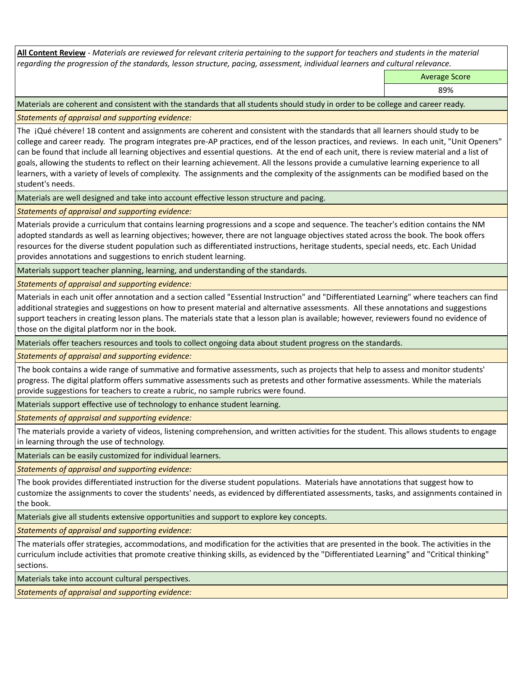**All Content Review** *- Materials are reviewed for relevant criteria pertaining to the support for teachers and students in the material regarding the progression of the standards, lesson structure, pacing, assessment, individual learners and cultural relevance.*

Average Score

89%

Materials are coherent and consistent with the standards that all students should study in order to be college and career ready.

*Statements of appraisal and supporting evidence:*

The ¡Qué chévere! 1B content and assignments are coherent and consistent with the standards that all learners should study to be college and career ready. The program integrates pre-AP practices, end of the lesson practices, and reviews. In each unit, "Unit Openers" can be found that include all learning objectives and essential questions. At the end of each unit, there is review material and a list of goals, allowing the students to reflect on their learning achievement. All the lessons provide a cumulative learning experience to all learners, with a variety of levels of complexity. The assignments and the complexity of the assignments can be modified based on the student's needs.

Materials are well designed and take into account effective lesson structure and pacing.

*Statements of appraisal and supporting evidence:*

Materials provide a curriculum that contains learning progressions and a scope and sequence. The teacher's edition contains the NM adopted standards as well as learning objectives; however, there are not language objectives stated across the book. The book offers resources for the diverse student population such as differentiated instructions, heritage students, special needs, etc. Each Unidad provides annotations and suggestions to enrich student learning.

Materials support teacher planning, learning, and understanding of the standards.

*Statements of appraisal and supporting evidence:*

Materials in each unit offer annotation and a section called "Essential Instruction" and "Differentiated Learning" where teachers can find additional strategies and suggestions on how to present material and alternative assessments. All these annotations and suggestions support teachers in creating lesson plans. The materials state that a lesson plan is available; however, reviewers found no evidence of those on the digital platform nor in the book.

Materials offer teachers resources and tools to collect ongoing data about student progress on the standards.

*Statements of appraisal and supporting evidence:*

The book contains a wide range of summative and formative assessments, such as projects that help to assess and monitor students' progress. The digital platform offers summative assessments such as pretests and other formative assessments. While the materials provide suggestions for teachers to create a rubric, no sample rubrics were found.

Materials support effective use of technology to enhance student learning.

*Statements of appraisal and supporting evidence:*

The materials provide a variety of videos, listening comprehension, and written activities for the student. This allows students to engage in learning through the use of technology.

Materials can be easily customized for individual learners.

*Statements of appraisal and supporting evidence:* 

The book provides differentiated instruction for the diverse student populations. Materials have annotations that suggest how to customize the assignments to cover the students' needs, as evidenced by differentiated assessments, tasks, and assignments contained in the book.

Materials give all students extensive opportunities and support to explore key concepts.

*Statements of appraisal and supporting evidence:*

The materials offer strategies, accommodations, and modification for the activities that are presented in the book. The activities in the curriculum include activities that promote creative thinking skills, as evidenced by the "Differentiated Learning" and "Critical thinking" sections.

Materials take into account cultural perspectives.

*Statements of appraisal and supporting evidence:*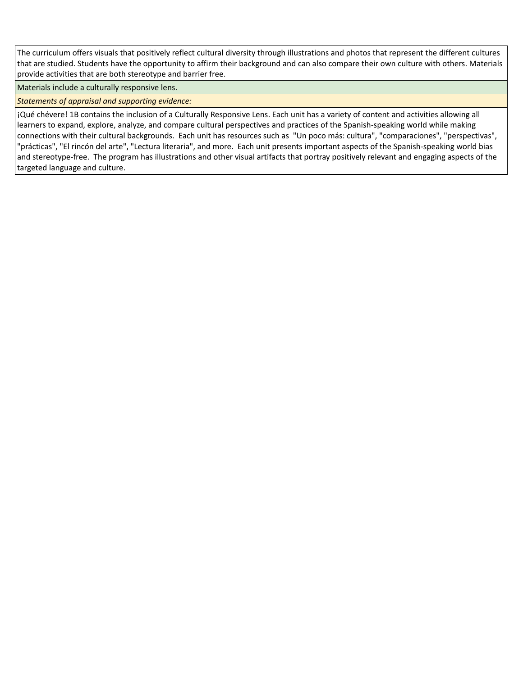The curriculum offers visuals that positively reflect cultural diversity through illustrations and photos that represent the different cultures that are studied. Students have the opportunity to affirm their background and can also compare their own culture with others. Materials provide activities that are both stereotype and barrier free.

Materials include a culturally responsive lens.

*Statements of appraisal and supporting evidence:*

¡Qué chévere! 1B contains the inclusion of a Culturally Responsive Lens. Each unit has a variety of content and activities allowing all learners to expand, explore, analyze, and compare cultural perspectives and practices of the Spanish-speaking world while making connections with their cultural backgrounds. Each unit has resources such as "Un poco más: cultura", "comparaciones", "perspectivas", "prácticas", "El rincón del arte", "Lectura literaria", and more. Each unit presents important aspects of the Spanish-speaking world bias and stereotype-free. The program has illustrations and other visual artifacts that portray positively relevant and engaging aspects of the targeted language and culture.